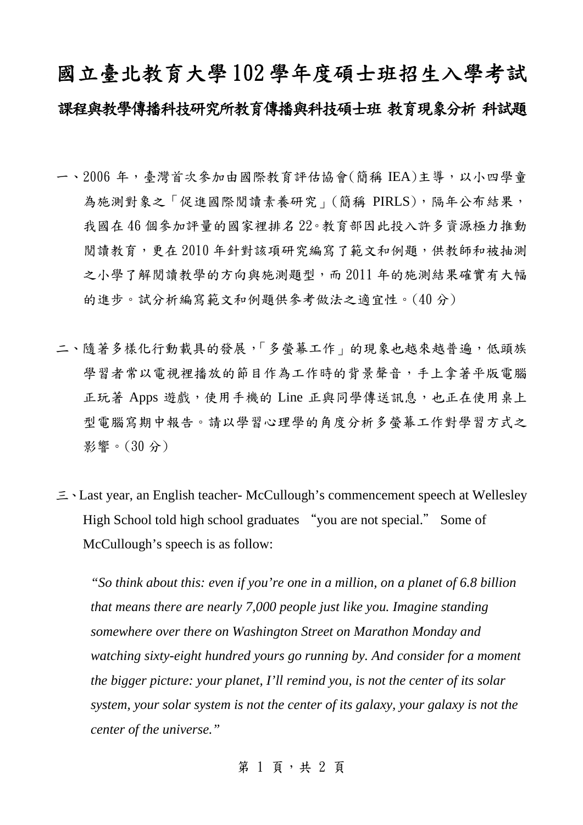## 國立臺北教育大學 102 學年度碩士班招生入學考試 課程與教學傳播科技研究所教育傳播與科技碩士班 教育現象分析 科試題

- 一、2006 年,臺灣首次參加由國際教育評估協會(簡稱 IEA)主導,以小四學童 為施測對象之「促進國際閱讀素養研究」(簡稱 PIRLS),隔年公布結果, 我國在 46 個參加評量的國家裡排名 22。教育部因此投入許多資源極力推動 閱讀教育,更在 2010 年針對該項研究編寫了範文和例題,供教師和被抽測 之小學了解閱讀教學的方向與施測題型,而 2011 年的施測結果確實有大幅 的進步。試分析編寫範文和例題供參考做法之適宜性。(40 分)
- 二、隨著多樣化行動載具的發展,「多螢幕工作」的現象也越來越普遍,低頭族 學習者常以電視裡播放的節目作為工作時的背景聲音,手上拿著平版電腦 正玩著 Apps 遊戲,使用手機的 Line 正與同學傳送訊息,也正在使用桌上 型電腦寫期中報告。請以學習心理學的角度分析多螢幕工作對學習方式之 影響。(30 分)
- 三、Last year, an English teacher- McCullough's commencement speech at Wellesley High School told high school graduates "you are not special." Some of McCullough's speech is as follow:

*"So think about this: even if you're one in a million, on a planet of 6.8 billion that means there are nearly 7,000 people just like you. Imagine standing somewhere over there on Washington Street on Marathon Monday and watching sixty-eight hundred yours go running by. And consider for a moment the bigger picture: your planet, I'll remind you, is not the center of its solar system, your solar system is not the center of its galaxy, your galaxy is not the center of the universe."* 

第 1 頁, 共 2 頁